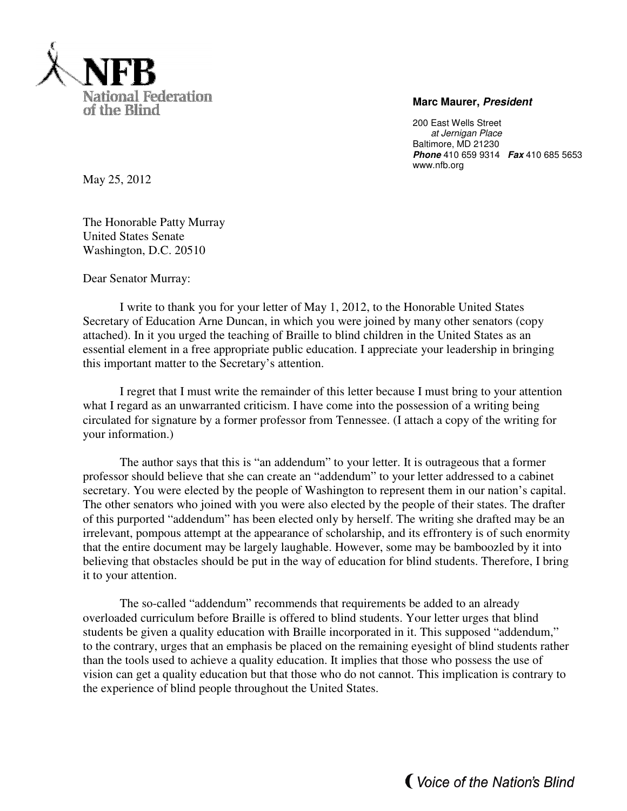

## **Marc Maurer, President**

200 East Wells Street at Jernigan Place Baltimore, MD 21230 **Phone** 410 659 9314 **Fax** 410 685 5653 www.nfb.org

May 25, 2012

The Honorable Patty Murray United States Senate Washington, D.C. 20510

Dear Senator Murray:

I write to thank you for your letter of May 1, 2012, to the Honorable United States Secretary of Education Arne Duncan, in which you were joined by many other senators (copy attached). In it you urged the teaching of Braille to blind children in the United States as an essential element in a free appropriate public education. I appreciate your leadership in bringing this important matter to the Secretary's attention.

 I regret that I must write the remainder of this letter because I must bring to your attention what I regard as an unwarranted criticism. I have come into the possession of a writing being circulated for signature by a former professor from Tennessee. (I attach a copy of the writing for your information.)

The author says that this is "an addendum" to your letter. It is outrageous that a former professor should believe that she can create an "addendum" to your letter addressed to a cabinet secretary. You were elected by the people of Washington to represent them in our nation's capital. The other senators who joined with you were also elected by the people of their states. The drafter of this purported "addendum" has been elected only by herself. The writing she drafted may be an irrelevant, pompous attempt at the appearance of scholarship, and its effrontery is of such enormity that the entire document may be largely laughable. However, some may be bamboozled by it into believing that obstacles should be put in the way of education for blind students. Therefore, I bring it to your attention.

The so-called "addendum" recommends that requirements be added to an already overloaded curriculum before Braille is offered to blind students. Your letter urges that blind students be given a quality education with Braille incorporated in it. This supposed "addendum," to the contrary, urges that an emphasis be placed on the remaining eyesight of blind students rather than the tools used to achieve a quality education. It implies that those who possess the use of vision can get a quality education but that those who do not cannot. This implication is contrary to the experience of blind people throughout the United States.